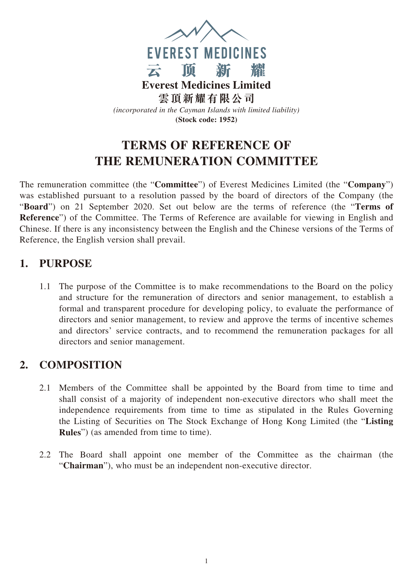

# **TERMS OF REFERENCE OF THE REMUNERATION COMMITTEE**

The remuneration committee (the "**Committee**") of Everest Medicines Limited (the "**Company**") was established pursuant to a resolution passed by the board of directors of the Company (the "**Board**") on 21 September 2020. Set out below are the terms of reference (the "**Terms of Reference**") of the Committee. The Terms of Reference are available for viewing in English and Chinese. If there is any inconsistency between the English and the Chinese versions of the Terms of Reference, the English version shall prevail.

#### **1. PURPOSE**

1.1 The purpose of the Committee is to make recommendations to the Board on the policy and structure for the remuneration of directors and senior management, to establish a formal and transparent procedure for developing policy, to evaluate the performance of directors and senior management, to review and approve the terms of incentive schemes and directors' service contracts, and to recommend the remuneration packages for all directors and senior management.

### **2. COMPOSITION**

- 2.1 Members of the Committee shall be appointed by the Board from time to time and shall consist of a majority of independent non-executive directors who shall meet the independence requirements from time to time as stipulated in the Rules Governing the Listing of Securities on The Stock Exchange of Hong Kong Limited (the "**Listing Rules**") (as amended from time to time).
- 2.2 The Board shall appoint one member of the Committee as the chairman (the "**Chairman**"), who must be an independent non-executive director.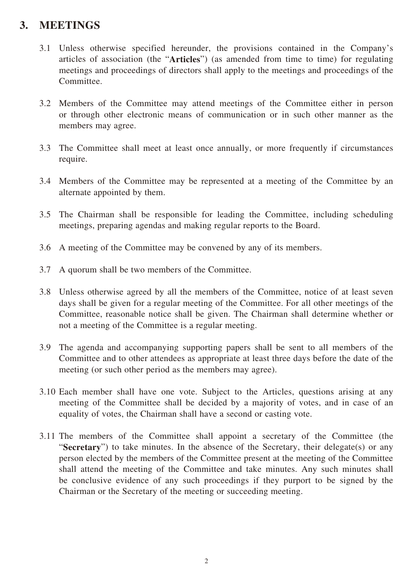### **3. MEETINGS**

- 3.1 Unless otherwise specified hereunder, the provisions contained in the Company's articles of association (the "**Articles**") (as amended from time to time) for regulating meetings and proceedings of directors shall apply to the meetings and proceedings of the Committee.
- 3.2 Members of the Committee may attend meetings of the Committee either in person or through other electronic means of communication or in such other manner as the members may agree.
- 3.3 The Committee shall meet at least once annually, or more frequently if circumstances require.
- 3.4 Members of the Committee may be represented at a meeting of the Committee by an alternate appointed by them.
- 3.5 The Chairman shall be responsible for leading the Committee, including scheduling meetings, preparing agendas and making regular reports to the Board.
- 3.6 A meeting of the Committee may be convened by any of its members.
- 3.7 A quorum shall be two members of the Committee.
- 3.8 Unless otherwise agreed by all the members of the Committee, notice of at least seven days shall be given for a regular meeting of the Committee. For all other meetings of the Committee, reasonable notice shall be given. The Chairman shall determine whether or not a meeting of the Committee is a regular meeting.
- 3.9 The agenda and accompanying supporting papers shall be sent to all members of the Committee and to other attendees as appropriate at least three days before the date of the meeting (or such other period as the members may agree).
- 3.10 Each member shall have one vote. Subject to the Articles, questions arising at any meeting of the Committee shall be decided by a majority of votes, and in case of an equality of votes, the Chairman shall have a second or casting vote.
- 3.11 The members of the Committee shall appoint a secretary of the Committee (the "**Secretary**") to take minutes. In the absence of the Secretary, their delegate(s) or any person elected by the members of the Committee present at the meeting of the Committee shall attend the meeting of the Committee and take minutes. Any such minutes shall be conclusive evidence of any such proceedings if they purport to be signed by the Chairman or the Secretary of the meeting or succeeding meeting.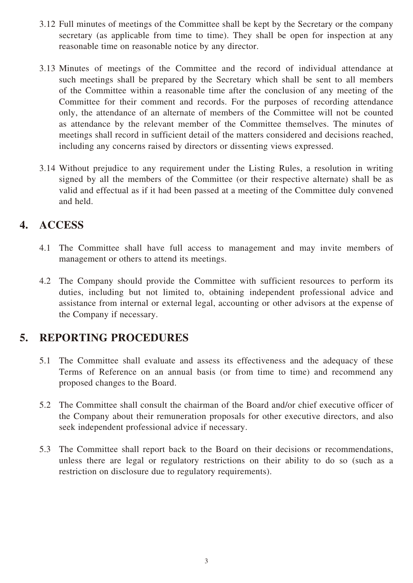- 3.12 Full minutes of meetings of the Committee shall be kept by the Secretary or the company secretary (as applicable from time to time). They shall be open for inspection at any reasonable time on reasonable notice by any director.
- 3.13 Minutes of meetings of the Committee and the record of individual attendance at such meetings shall be prepared by the Secretary which shall be sent to all members of the Committee within a reasonable time after the conclusion of any meeting of the Committee for their comment and records. For the purposes of recording attendance only, the attendance of an alternate of members of the Committee will not be counted as attendance by the relevant member of the Committee themselves. The minutes of meetings shall record in sufficient detail of the matters considered and decisions reached, including any concerns raised by directors or dissenting views expressed.
- 3.14 Without prejudice to any requirement under the Listing Rules, a resolution in writing signed by all the members of the Committee (or their respective alternate) shall be as valid and effectual as if it had been passed at a meeting of the Committee duly convened and held.

### **4. ACCESS**

- 4.1 The Committee shall have full access to management and may invite members of management or others to attend its meetings.
- 4.2 The Company should provide the Committee with sufficient resources to perform its duties, including but not limited to, obtaining independent professional advice and assistance from internal or external legal, accounting or other advisors at the expense of the Company if necessary.

### **5. REPORTING PROCEDURES**

- 5.1 The Committee shall evaluate and assess its effectiveness and the adequacy of these Terms of Reference on an annual basis (or from time to time) and recommend any proposed changes to the Board.
- 5.2 The Committee shall consult the chairman of the Board and/or chief executive officer of the Company about their remuneration proposals for other executive directors, and also seek independent professional advice if necessary.
- 5.3 The Committee shall report back to the Board on their decisions or recommendations, unless there are legal or regulatory restrictions on their ability to do so (such as a restriction on disclosure due to regulatory requirements).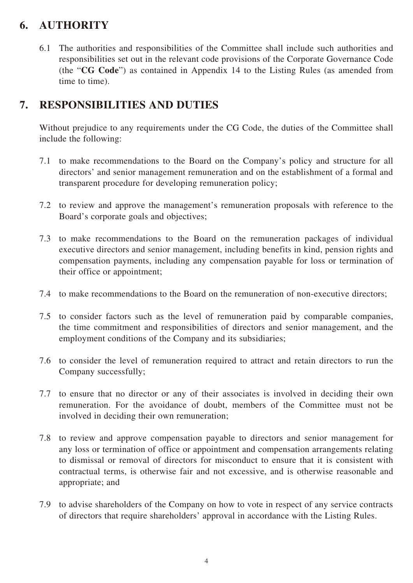## **6. AUTHORITY**

6.1 The authorities and responsibilities of the Committee shall include such authorities and responsibilities set out in the relevant code provisions of the Corporate Governance Code (the "**CG Code**") as contained in Appendix 14 to the Listing Rules (as amended from time to time).

#### **7. RESPONSIBILITIES AND DUTIES**

Without prejudice to any requirements under the CG Code, the duties of the Committee shall include the following:

- 7.1 to make recommendations to the Board on the Company's policy and structure for all directors' and senior management remuneration and on the establishment of a formal and transparent procedure for developing remuneration policy;
- 7.2 to review and approve the management's remuneration proposals with reference to the Board's corporate goals and objectives;
- 7.3 to make recommendations to the Board on the remuneration packages of individual executive directors and senior management, including benefits in kind, pension rights and compensation payments, including any compensation payable for loss or termination of their office or appointment;
- 7.4 to make recommendations to the Board on the remuneration of non-executive directors;
- 7.5 to consider factors such as the level of remuneration paid by comparable companies, the time commitment and responsibilities of directors and senior management, and the employment conditions of the Company and its subsidiaries;
- 7.6 to consider the level of remuneration required to attract and retain directors to run the Company successfully;
- 7.7 to ensure that no director or any of their associates is involved in deciding their own remuneration. For the avoidance of doubt, members of the Committee must not be involved in deciding their own remuneration;
- 7.8 to review and approve compensation payable to directors and senior management for any loss or termination of office or appointment and compensation arrangements relating to dismissal or removal of directors for misconduct to ensure that it is consistent with contractual terms, is otherwise fair and not excessive, and is otherwise reasonable and appropriate; and
- 7.9 to advise shareholders of the Company on how to vote in respect of any service contracts of directors that require shareholders' approval in accordance with the Listing Rules.